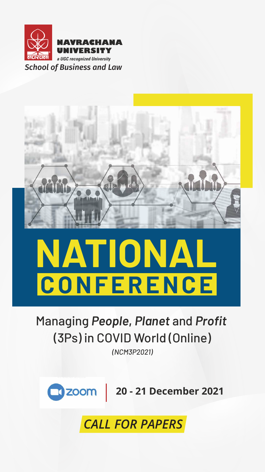<span id="page-0-0"></span>

#### **NAVRACHANA UNIVERSITY**

*a UGC recognized University*

# **NATIONAL CONFERENCE**

## Managing *People***,** *Planet* and *Profit*  (3Ps) in COVID World (Online)

#### *(NCM3P2021)*



### *CALL FOR PAPERS*

**20 - 21 December 2021**

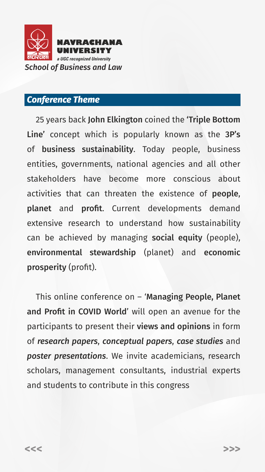<span id="page-1-0"></span>

#### *Conference Theme*

 25 years back John Elkington coined the 'Triple Bottom Line' concept which is popularly known as the 3P's of business sustainability. Today people, business entities, governments, national agencies and all other stakeholders have become more conscious about activities that can threaten the existence of people, planet and profit. Current developments demand extensive research to understand how sustainability can be achieved by managing social equity (people), environmental stewardship (planet) and economic prosperity (profit).

 This online conference on – 'Managing People, Planet and Profit in COVID World' will open an avenue for the participants to present their views and opinions in form of *research papers*, *conceptual papers*, *case studies* and *poster presentations*. We invite academicians, research scholars, management consultants, industrial experts and students to contribute in this congress

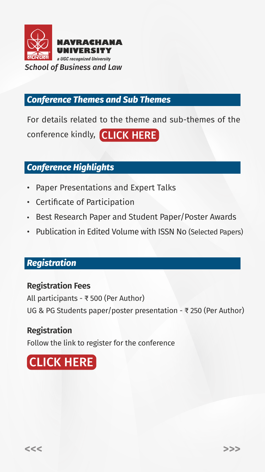<span id="page-2-0"></span>

#### *Conference Themes and Sub Themes*

#### *Conference Highlights*

- Paper Presentations and Expert Talks
- Certificate of Participation
- Best Research Paper and Student Paper/Poster Awards
- Publication in Edited Volume with ISSN No (Selected Papers)

For details related to the theme and sub-themes of the conference kindly, [CLICK HERE](https://sites.google.com/view/sblconference2021/conference-theme/sub-themes?authuser=0)

#### *Registration*

#### **Registration Fees**

All participants - ₹ 500 (Per Author) UG & PG Students paper/poster presentation - ₹ 250 (Per Author)

#### **Registration**

Follow the link to register for the conference



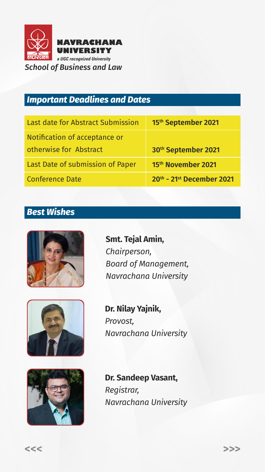<span id="page-3-0"></span>

#### *Important Deadlines and Dates*

#### *Best Wishes*



| Last date for Abstract Submission                       | 15th September 2021       |
|---------------------------------------------------------|---------------------------|
| Notification of acceptance or<br>otherwise for Abstract | 30th September 2021       |
| Last Date of submission of Paper                        | 15th November 2021        |
| <b>Conference Date</b>                                  | 20th - 21st December 2021 |

**Smt. Tejal Amin,** *Chairperson, Board of Management, Navrachana University* 



**Dr. Nilay Yajnik,** *Provost, Navrachana University*



**Dr. Sandeep Vasant,** *Registrar, Navrachana University*